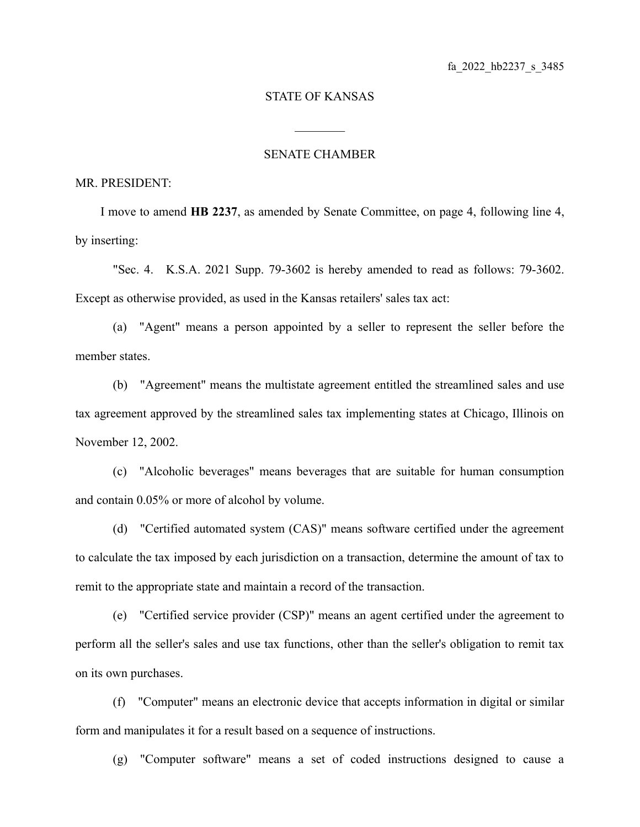## STATE OF KANSAS

 $\mathcal{L}_\text{max}$ 

## SENATE CHAMBER

## MR. PRESIDENT:

I move to amend **HB 2237**, as amended by Senate Committee, on page 4, following line 4, by inserting:

"Sec. 4. K.S.A. 2021 Supp. 79-3602 is hereby amended to read as follows: 79-3602. Except as otherwise provided, as used in the Kansas retailers' sales tax act:

(a) "Agent" means a person appointed by a seller to represent the seller before the member states.

(b) "Agreement" means the multistate agreement entitled the streamlined sales and use tax agreement approved by the streamlined sales tax implementing states at Chicago, Illinois on November 12, 2002.

(c) "Alcoholic beverages" means beverages that are suitable for human consumption and contain 0.05% or more of alcohol by volume.

(d) "Certified automated system (CAS)" means software certified under the agreement to calculate the tax imposed by each jurisdiction on a transaction, determine the amount of tax to remit to the appropriate state and maintain a record of the transaction.

(e) "Certified service provider (CSP)" means an agent certified under the agreement to perform all the seller's sales and use tax functions, other than the seller's obligation to remit tax on its own purchases.

(f) "Computer" means an electronic device that accepts information in digital or similar form and manipulates it for a result based on a sequence of instructions.

(g) "Computer software" means a set of coded instructions designed to cause a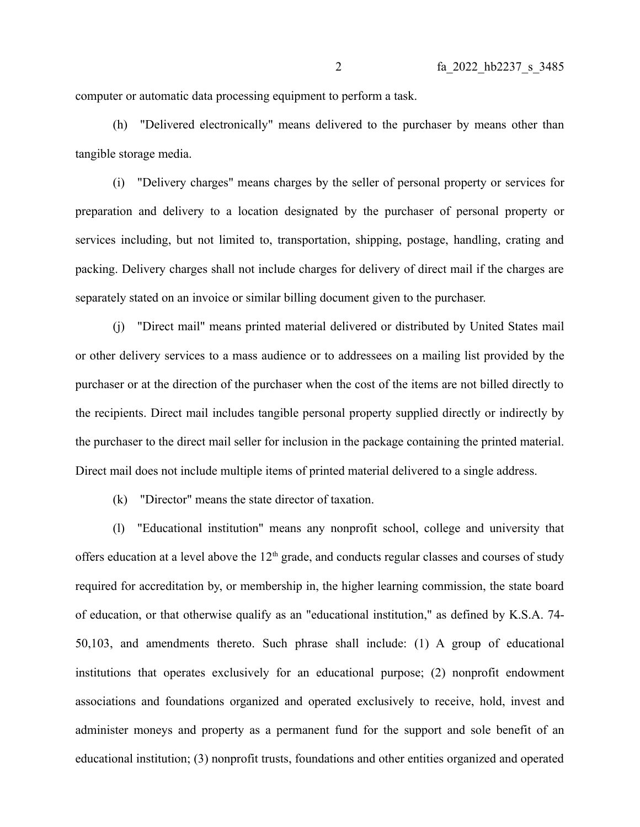computer or automatic data processing equipment to perform a task.

(h) "Delivered electronically" means delivered to the purchaser by means other than tangible storage media.

(i) "Delivery charges" means charges by the seller of personal property or services for preparation and delivery to a location designated by the purchaser of personal property or services including, but not limited to, transportation, shipping, postage, handling, crating and packing. Delivery charges shall not include charges for delivery of direct mail if the charges are separately stated on an invoice or similar billing document given to the purchaser.

(j) "Direct mail" means printed material delivered or distributed by United States mail or other delivery services to a mass audience or to addressees on a mailing list provided by the purchaser or at the direction of the purchaser when the cost of the items are not billed directly to the recipients. Direct mail includes tangible personal property supplied directly or indirectly by the purchaser to the direct mail seller for inclusion in the package containing the printed material. Direct mail does not include multiple items of printed material delivered to a single address.

(k) "Director" means the state director of taxation.

(l) "Educational institution" means any nonprofit school, college and university that offers education at a level above the  $12<sup>th</sup>$  grade, and conducts regular classes and courses of study required for accreditation by, or membership in, the higher learning commission, the state board of education, or that otherwise qualify as an "educational institution," as defined by K.S.A. 74- 50,103, and amendments thereto. Such phrase shall include: (1) A group of educational institutions that operates exclusively for an educational purpose; (2) nonprofit endowment associations and foundations organized and operated exclusively to receive, hold, invest and administer moneys and property as a permanent fund for the support and sole benefit of an educational institution; (3) nonprofit trusts, foundations and other entities organized and operated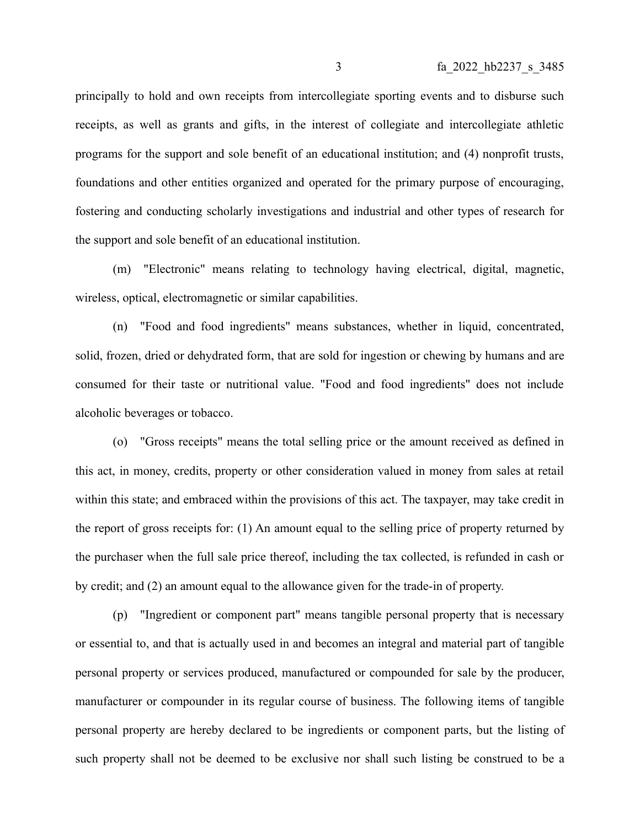principally to hold and own receipts from intercollegiate sporting events and to disburse such receipts, as well as grants and gifts, in the interest of collegiate and intercollegiate athletic programs for the support and sole benefit of an educational institution; and (4) nonprofit trusts, foundations and other entities organized and operated for the primary purpose of encouraging, fostering and conducting scholarly investigations and industrial and other types of research for the support and sole benefit of an educational institution.

(m) "Electronic" means relating to technology having electrical, digital, magnetic, wireless, optical, electromagnetic or similar capabilities.

(n) "Food and food ingredients" means substances, whether in liquid, concentrated, solid, frozen, dried or dehydrated form, that are sold for ingestion or chewing by humans and are consumed for their taste or nutritional value. "Food and food ingredients" does not include alcoholic beverages or tobacco.

(o) "Gross receipts" means the total selling price or the amount received as defined in this act, in money, credits, property or other consideration valued in money from sales at retail within this state; and embraced within the provisions of this act. The taxpayer, may take credit in the report of gross receipts for: (1) An amount equal to the selling price of property returned by the purchaser when the full sale price thereof, including the tax collected, is refunded in cash or by credit; and (2) an amount equal to the allowance given for the trade-in of property.

(p) "Ingredient or component part" means tangible personal property that is necessary or essential to, and that is actually used in and becomes an integral and material part of tangible personal property or services produced, manufactured or compounded for sale by the producer, manufacturer or compounder in its regular course of business. The following items of tangible personal property are hereby declared to be ingredients or component parts, but the listing of such property shall not be deemed to be exclusive nor shall such listing be construed to be a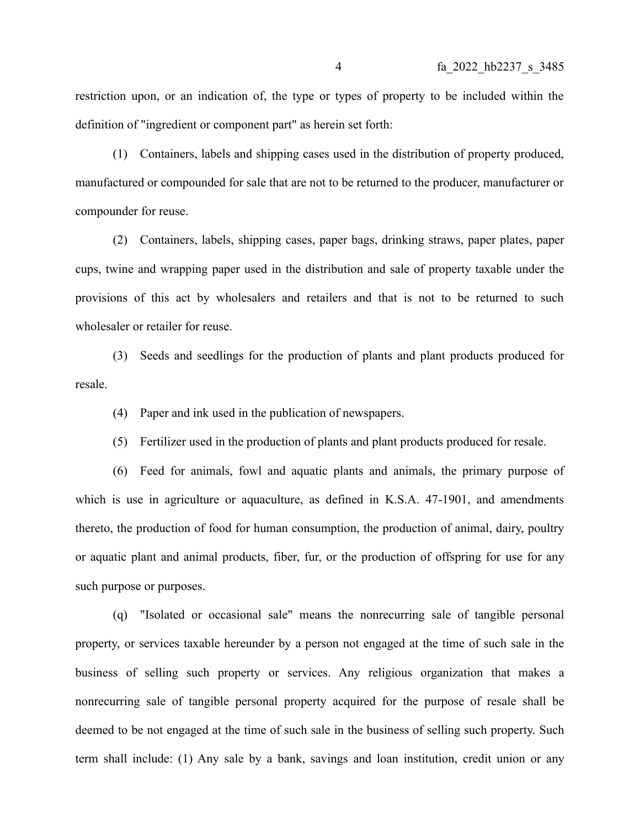restriction upon, or an indication of, the type or types of property to be included within the definition of "ingredient or component part" as herein set forth:

(1) Containers, labels and shipping cases used in the distribution of property produced, manufactured or compounded for sale that are not to be returned to the producer, manufacturer or compounder for reuse.

(2) Containers, labels, shipping cases, paper bags, drinking straws, paper plates, paper cups, twine and wrapping paper used in the distribution and sale of property taxable under the provisions of this act by wholesalers and retailers and that is not to be returned to such wholesaler or retailer for reuse.

(3) Seeds and seedlings for the production of plants and plant products produced for resale.

(4) Paper and ink used in the publication of newspapers.

(5) Fertilizer used in the production of plants and plant products produced for resale.

(6) Feed for animals, fowl and aquatic plants and animals, the primary purpose of which is use in agriculture or aquaculture, as defined in K.S.A. 47-1901, and amendments thereto, the production of food for human consumption, the production of animal, dairy, poultry or aquatic plant and animal products, fiber, fur, or the production of offspring for use for any such purpose or purposes.

(q) "Isolated or occasional sale" means the nonrecurring sale of tangible personal property, or services taxable hereunder by a person not engaged at the time of such sale in the business of selling such property or services. Any religious organization that makes a nonrecurring sale of tangible personal property acquired for the purpose of resale shall be deemed to be not engaged at the time of such sale in the business of selling such property. Such term shall include: (1) Any sale by a bank, savings and loan institution, credit union or any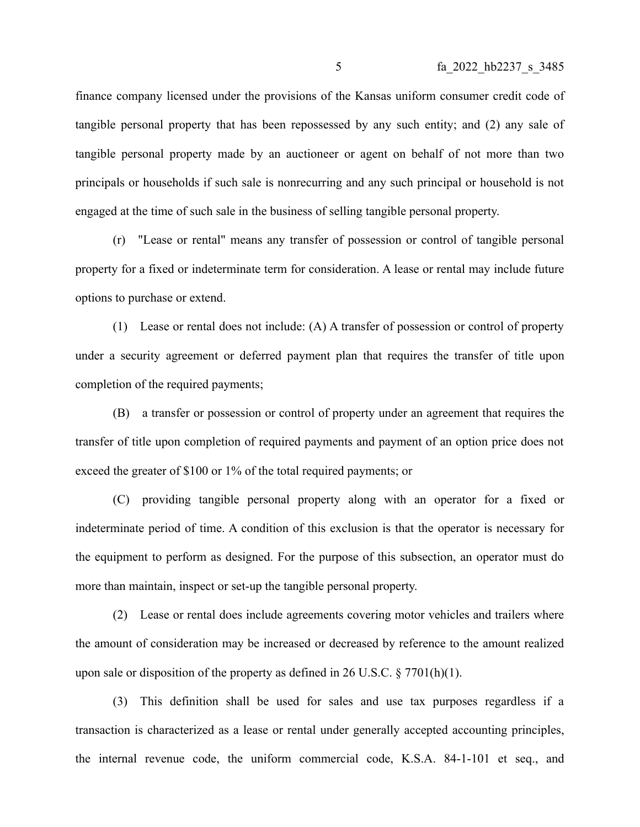finance company licensed under the provisions of the Kansas uniform consumer credit code of tangible personal property that has been repossessed by any such entity; and (2) any sale of tangible personal property made by an auctioneer or agent on behalf of not more than two principals or households if such sale is nonrecurring and any such principal or household is not engaged at the time of such sale in the business of selling tangible personal property.

(r) "Lease or rental" means any transfer of possession or control of tangible personal property for a fixed or indeterminate term for consideration. A lease or rental may include future options to purchase or extend.

(1) Lease or rental does not include: (A) A transfer of possession or control of property under a security agreement or deferred payment plan that requires the transfer of title upon completion of the required payments;

(B) a transfer or possession or control of property under an agreement that requires the transfer of title upon completion of required payments and payment of an option price does not exceed the greater of \$100 or 1% of the total required payments; or

(C) providing tangible personal property along with an operator for a fixed or indeterminate period of time. A condition of this exclusion is that the operator is necessary for the equipment to perform as designed. For the purpose of this subsection, an operator must do more than maintain, inspect or set-up the tangible personal property.

(2) Lease or rental does include agreements covering motor vehicles and trailers where the amount of consideration may be increased or decreased by reference to the amount realized upon sale or disposition of the property as defined in 26 U.S.C.  $\S 7701(h)(1)$ .

(3) This definition shall be used for sales and use tax purposes regardless if a transaction is characterized as a lease or rental under generally accepted accounting principles, the internal revenue code, the uniform commercial code, K.S.A. 84-1-101 et seq., and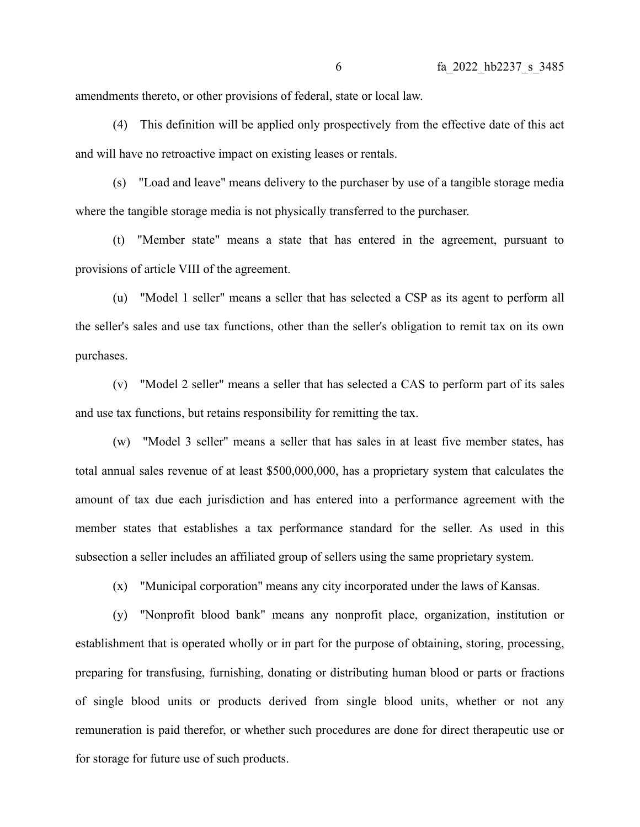amendments thereto, or other provisions of federal, state or local law.

(4) This definition will be applied only prospectively from the effective date of this act and will have no retroactive impact on existing leases or rentals.

(s) "Load and leave" means delivery to the purchaser by use of a tangible storage media where the tangible storage media is not physically transferred to the purchaser.

(t) "Member state" means a state that has entered in the agreement, pursuant to provisions of article VIII of the agreement.

(u) "Model 1 seller" means a seller that has selected a CSP as its agent to perform all the seller's sales and use tax functions, other than the seller's obligation to remit tax on its own purchases.

(v) "Model 2 seller" means a seller that has selected a CAS to perform part of its sales and use tax functions, but retains responsibility for remitting the tax.

(w) "Model 3 seller" means a seller that has sales in at least five member states, has total annual sales revenue of at least \$500,000,000, has a proprietary system that calculates the amount of tax due each jurisdiction and has entered into a performance agreement with the member states that establishes a tax performance standard for the seller. As used in this subsection a seller includes an affiliated group of sellers using the same proprietary system.

(x) "Municipal corporation" means any city incorporated under the laws of Kansas.

(y) "Nonprofit blood bank" means any nonprofit place, organization, institution or establishment that is operated wholly or in part for the purpose of obtaining, storing, processing, preparing for transfusing, furnishing, donating or distributing human blood or parts or fractions of single blood units or products derived from single blood units, whether or not any remuneration is paid therefor, or whether such procedures are done for direct therapeutic use or for storage for future use of such products.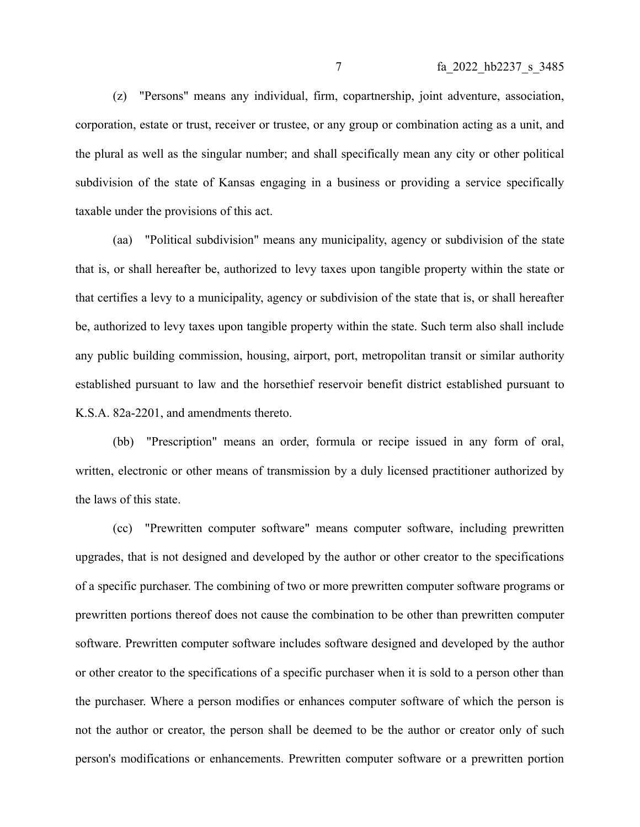(z) "Persons" means any individual, firm, copartnership, joint adventure, association, corporation, estate or trust, receiver or trustee, or any group or combination acting as a unit, and the plural as well as the singular number; and shall specifically mean any city or other political subdivision of the state of Kansas engaging in a business or providing a service specifically taxable under the provisions of this act.

(aa) "Political subdivision" means any municipality, agency or subdivision of the state that is, or shall hereafter be, authorized to levy taxes upon tangible property within the state or that certifies a levy to a municipality, agency or subdivision of the state that is, or shall hereafter be, authorized to levy taxes upon tangible property within the state. Such term also shall include any public building commission, housing, airport, port, metropolitan transit or similar authority established pursuant to law and the horsethief reservoir benefit district established pursuant to K.S.A. 82a-2201, and amendments thereto.

(bb) "Prescription" means an order, formula or recipe issued in any form of oral, written, electronic or other means of transmission by a duly licensed practitioner authorized by the laws of this state.

(cc) "Prewritten computer software" means computer software, including prewritten upgrades, that is not designed and developed by the author or other creator to the specifications of a specific purchaser. The combining of two or more prewritten computer software programs or prewritten portions thereof does not cause the combination to be other than prewritten computer software. Prewritten computer software includes software designed and developed by the author or other creator to the specifications of a specific purchaser when it is sold to a person other than the purchaser. Where a person modifies or enhances computer software of which the person is not the author or creator, the person shall be deemed to be the author or creator only of such person's modifications or enhancements. Prewritten computer software or a prewritten portion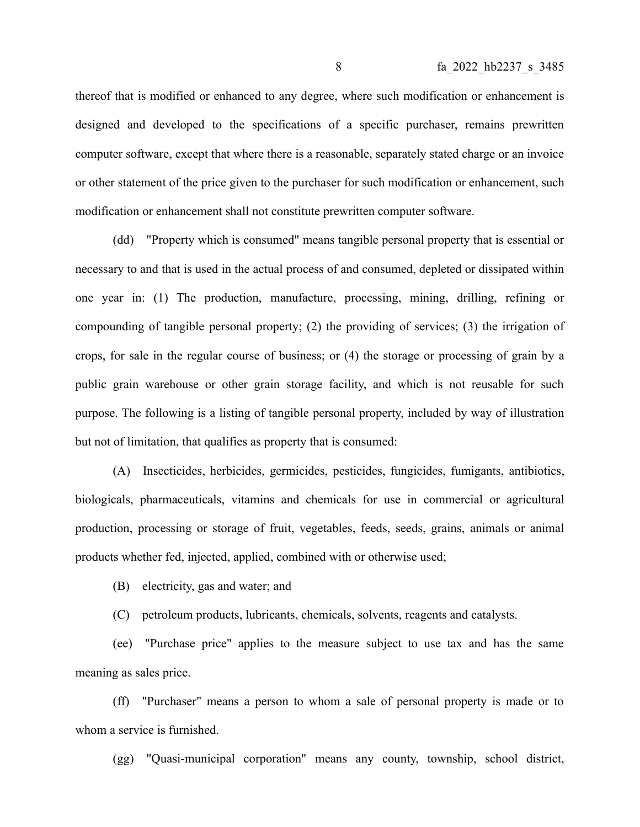thereof that is modified or enhanced to any degree, where such modification or enhancement is designed and developed to the specifications of a specific purchaser, remains prewritten computer software, except that where there is a reasonable, separately stated charge or an invoice or other statement of the price given to the purchaser for such modification or enhancement, such modification or enhancement shall not constitute prewritten computer software.

(dd) "Property which is consumed" means tangible personal property that is essential or necessary to and that is used in the actual process of and consumed, depleted or dissipated within one year in: (1) The production, manufacture, processing, mining, drilling, refining or compounding of tangible personal property; (2) the providing of services; (3) the irrigation of crops, for sale in the regular course of business; or (4) the storage or processing of grain by a public grain warehouse or other grain storage facility, and which is not reusable for such purpose. The following is a listing of tangible personal property, included by way of illustration but not of limitation, that qualifies as property that is consumed:

(A) Insecticides, herbicides, germicides, pesticides, fungicides, fumigants, antibiotics, biologicals, pharmaceuticals, vitamins and chemicals for use in commercial or agricultural production, processing or storage of fruit, vegetables, feeds, seeds, grains, animals or animal products whether fed, injected, applied, combined with or otherwise used;

(B) electricity, gas and water; and

(C) petroleum products, lubricants, chemicals, solvents, reagents and catalysts.

(ee) "Purchase price" applies to the measure subject to use tax and has the same meaning as sales price.

(ff) "Purchaser" means a person to whom a sale of personal property is made or to whom a service is furnished.

(gg) "Quasi-municipal corporation" means any county, township, school district,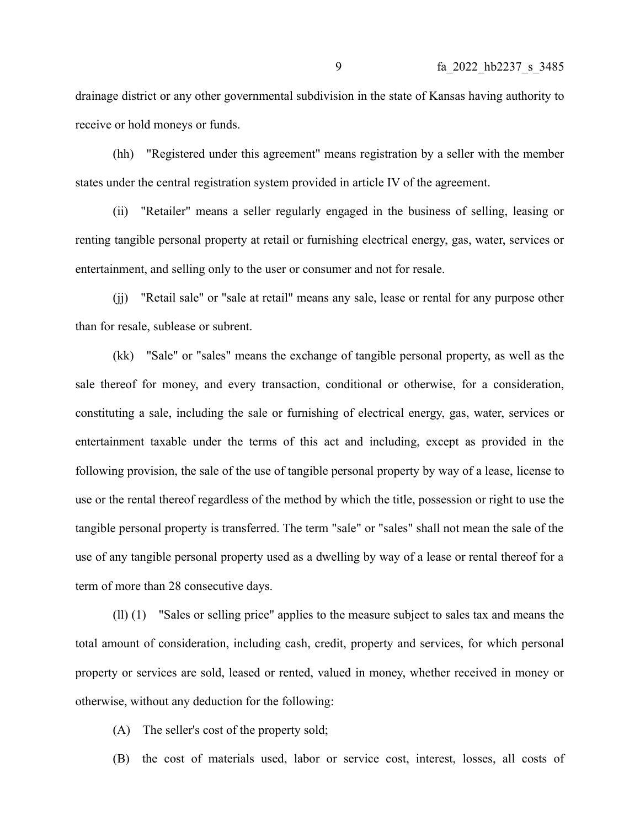drainage district or any other governmental subdivision in the state of Kansas having authority to receive or hold moneys or funds.

(hh) "Registered under this agreement" means registration by a seller with the member states under the central registration system provided in article IV of the agreement.

(ii) "Retailer" means a seller regularly engaged in the business of selling, leasing or renting tangible personal property at retail or furnishing electrical energy, gas, water, services or entertainment, and selling only to the user or consumer and not for resale.

(jj) "Retail sale" or "sale at retail" means any sale, lease or rental for any purpose other than for resale, sublease or subrent.

(kk) "Sale" or "sales" means the exchange of tangible personal property, as well as the sale thereof for money, and every transaction, conditional or otherwise, for a consideration, constituting a sale, including the sale or furnishing of electrical energy, gas, water, services or entertainment taxable under the terms of this act and including, except as provided in the following provision, the sale of the use of tangible personal property by way of a lease, license to use or the rental thereof regardless of the method by which the title, possession or right to use the tangible personal property is transferred. The term "sale" or "sales" shall not mean the sale of the use of any tangible personal property used as a dwelling by way of a lease or rental thereof for a term of more than 28 consecutive days.

(ll) (1) "Sales or selling price" applies to the measure subject to sales tax and means the total amount of consideration, including cash, credit, property and services, for which personal property or services are sold, leased or rented, valued in money, whether received in money or otherwise, without any deduction for the following:

(A) The seller's cost of the property sold;

(B) the cost of materials used, labor or service cost, interest, losses, all costs of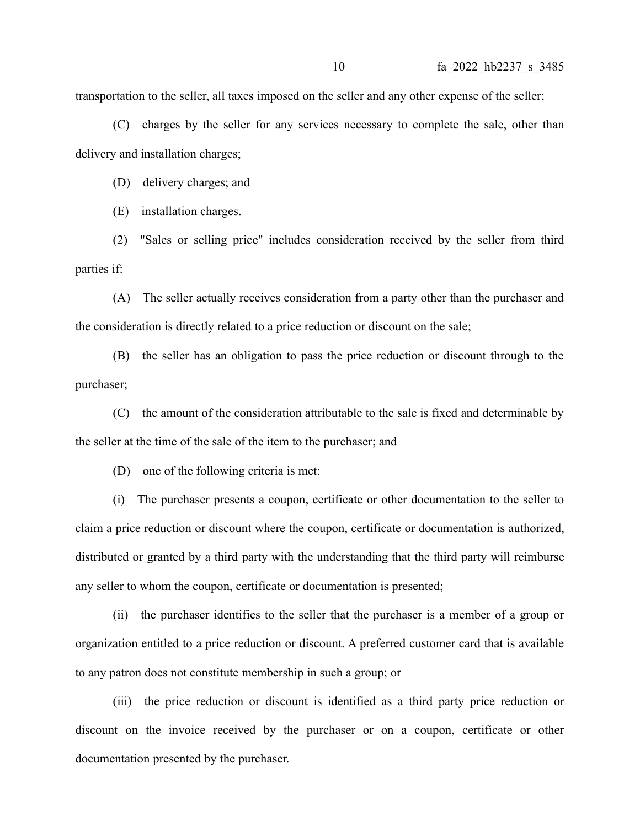transportation to the seller, all taxes imposed on the seller and any other expense of the seller;

(C) charges by the seller for any services necessary to complete the sale, other than delivery and installation charges;

(D) delivery charges; and

(E) installation charges.

(2) "Sales or selling price" includes consideration received by the seller from third parties if:

(A) The seller actually receives consideration from a party other than the purchaser and the consideration is directly related to a price reduction or discount on the sale;

(B) the seller has an obligation to pass the price reduction or discount through to the purchaser;

(C) the amount of the consideration attributable to the sale is fixed and determinable by the seller at the time of the sale of the item to the purchaser; and

(D) one of the following criteria is met:

(i) The purchaser presents a coupon, certificate or other documentation to the seller to claim a price reduction or discount where the coupon, certificate or documentation is authorized, distributed or granted by a third party with the understanding that the third party will reimburse any seller to whom the coupon, certificate or documentation is presented;

(ii) the purchaser identifies to the seller that the purchaser is a member of a group or organization entitled to a price reduction or discount. A preferred customer card that is available to any patron does not constitute membership in such a group; or

(iii) the price reduction or discount is identified as a third party price reduction or discount on the invoice received by the purchaser or on a coupon, certificate or other documentation presented by the purchaser.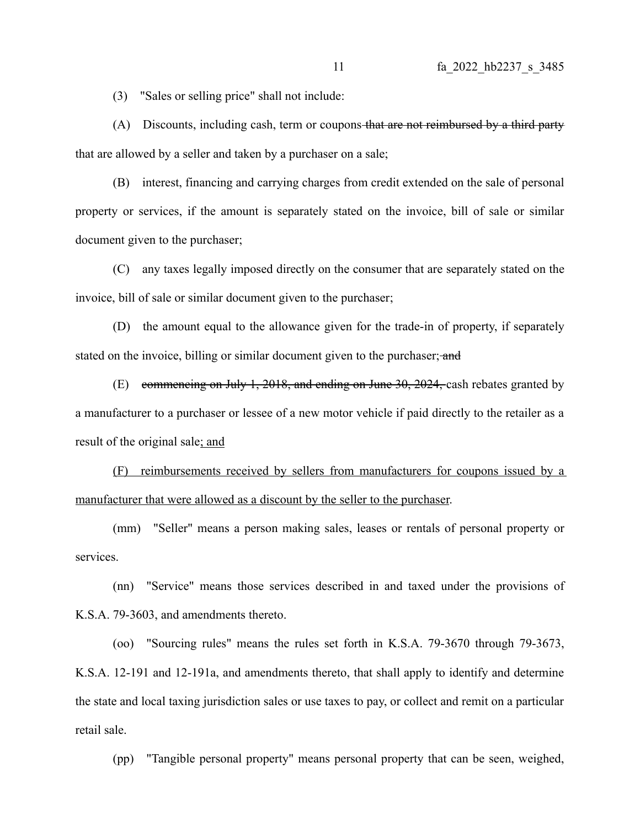(3) "Sales or selling price" shall not include:

(A) Discounts, including cash, term or coupons that are not reimbursed by a third party that are allowed by a seller and taken by a purchaser on a sale;

(B) interest, financing and carrying charges from credit extended on the sale of personal property or services, if the amount is separately stated on the invoice, bill of sale or similar document given to the purchaser;

(C) any taxes legally imposed directly on the consumer that are separately stated on the invoice, bill of sale or similar document given to the purchaser;

(D) the amount equal to the allowance given for the trade-in of property, if separately stated on the invoice, billing or similar document given to the purchaser; and

(E) commencing on July 1, 2018, and ending on June 30, 2024, cash rebates granted by a manufacturer to a purchaser or lessee of a new motor vehicle if paid directly to the retailer as a result of the original sale; and

(F) reimbursements received by sellers from manufacturers for coupons issued by a manufacturer that were allowed as a discount by the seller to the purchaser.

(mm) "Seller" means a person making sales, leases or rentals of personal property or services.

(nn) "Service" means those services described in and taxed under the provisions of K.S.A. 79-3603, and amendments thereto.

(oo) "Sourcing rules" means the rules set forth in K.S.A. 79-3670 through 79-3673, K.S.A. 12-191 and 12-191a, and amendments thereto, that shall apply to identify and determine the state and local taxing jurisdiction sales or use taxes to pay, or collect and remit on a particular retail sale.

(pp) "Tangible personal property" means personal property that can be seen, weighed,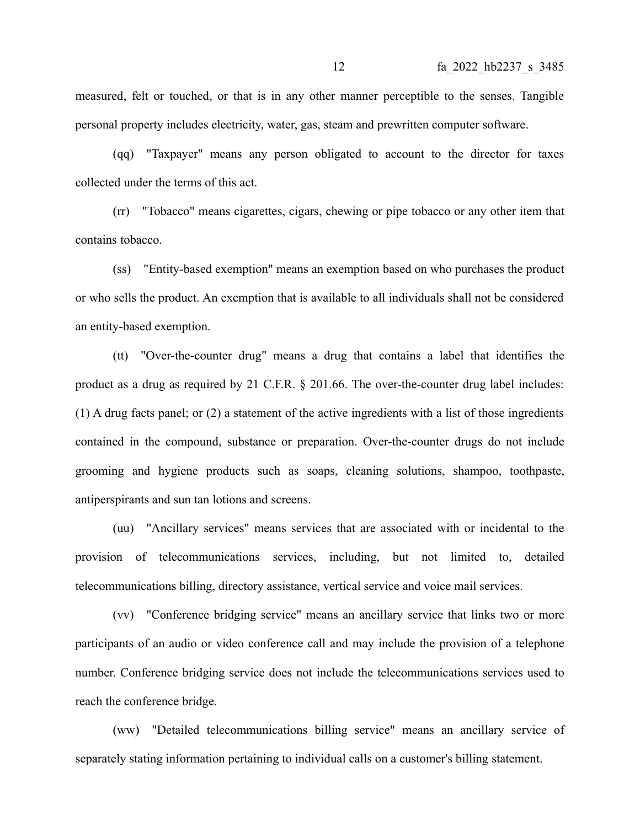measured, felt or touched, or that is in any other manner perceptible to the senses. Tangible personal property includes electricity, water, gas, steam and prewritten computer software.

(qq) "Taxpayer" means any person obligated to account to the director for taxes collected under the terms of this act.

(rr) "Tobacco" means cigarettes, cigars, chewing or pipe tobacco or any other item that contains tobacco.

(ss) "Entity-based exemption" means an exemption based on who purchases the product or who sells the product. An exemption that is available to all individuals shall not be considered an entity-based exemption.

(tt) "Over-the-counter drug" means a drug that contains a label that identifies the product as a drug as required by 21 C.F.R. § 201.66. The over-the-counter drug label includes: (1) A drug facts panel; or (2) a statement of the active ingredients with a list of those ingredients contained in the compound, substance or preparation. Over-the-counter drugs do not include grooming and hygiene products such as soaps, cleaning solutions, shampoo, toothpaste, antiperspirants and sun tan lotions and screens.

(uu) "Ancillary services" means services that are associated with or incidental to the provision of telecommunications services, including, but not limited to, detailed telecommunications billing, directory assistance, vertical service and voice mail services.

(vv) "Conference bridging service" means an ancillary service that links two or more participants of an audio or video conference call and may include the provision of a telephone number. Conference bridging service does not include the telecommunications services used to reach the conference bridge.

(ww) "Detailed telecommunications billing service" means an ancillary service of separately stating information pertaining to individual calls on a customer's billing statement.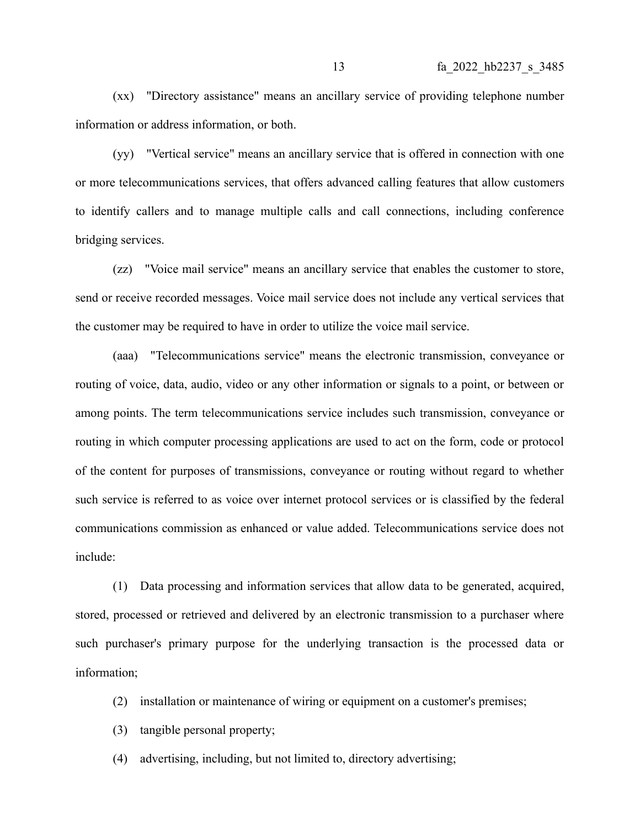(xx) "Directory assistance" means an ancillary service of providing telephone number information or address information, or both.

(yy) "Vertical service" means an ancillary service that is offered in connection with one or more telecommunications services, that offers advanced calling features that allow customers to identify callers and to manage multiple calls and call connections, including conference bridging services.

(zz) "Voice mail service" means an ancillary service that enables the customer to store, send or receive recorded messages. Voice mail service does not include any vertical services that the customer may be required to have in order to utilize the voice mail service.

(aaa) "Telecommunications service" means the electronic transmission, conveyance or routing of voice, data, audio, video or any other information or signals to a point, or between or among points. The term telecommunications service includes such transmission, conveyance or routing in which computer processing applications are used to act on the form, code or protocol of the content for purposes of transmissions, conveyance or routing without regard to whether such service is referred to as voice over internet protocol services or is classified by the federal communications commission as enhanced or value added. Telecommunications service does not include:

(1) Data processing and information services that allow data to be generated, acquired, stored, processed or retrieved and delivered by an electronic transmission to a purchaser where such purchaser's primary purpose for the underlying transaction is the processed data or information;

- (2) installation or maintenance of wiring or equipment on a customer's premises;
- (3) tangible personal property;
- (4) advertising, including, but not limited to, directory advertising;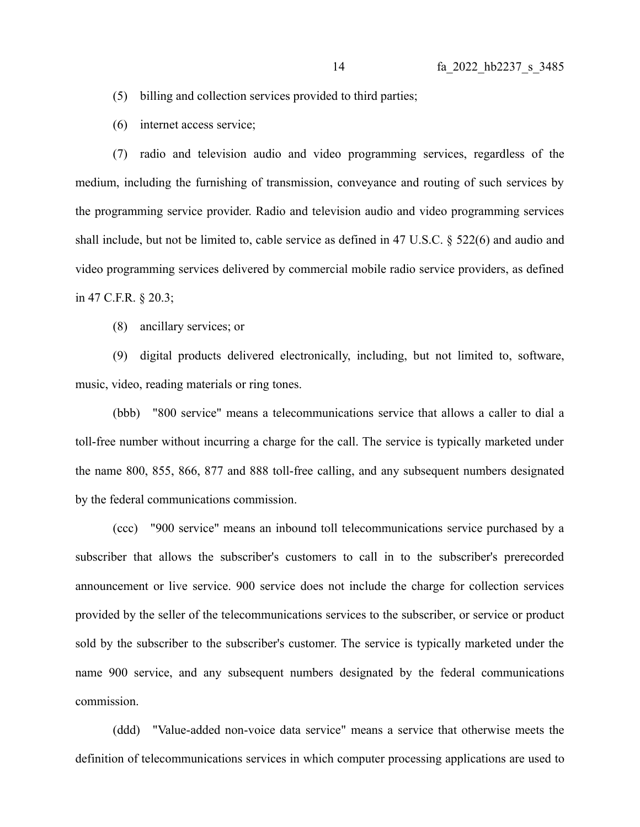- (5) billing and collection services provided to third parties;
- (6) internet access service;

(7) radio and television audio and video programming services, regardless of the medium, including the furnishing of transmission, conveyance and routing of such services by the programming service provider. Radio and television audio and video programming services shall include, but not be limited to, cable service as defined in 47 U.S.C. § 522(6) and audio and video programming services delivered by commercial mobile radio service providers, as defined in 47 C.F.R. § 20.3;

(8) ancillary services; or

(9) digital products delivered electronically, including, but not limited to, software, music, video, reading materials or ring tones.

(bbb) "800 service" means a telecommunications service that allows a caller to dial a toll-free number without incurring a charge for the call. The service is typically marketed under the name 800, 855, 866, 877 and 888 toll-free calling, and any subsequent numbers designated by the federal communications commission.

(ccc) "900 service" means an inbound toll telecommunications service purchased by a subscriber that allows the subscriber's customers to call in to the subscriber's prerecorded announcement or live service. 900 service does not include the charge for collection services provided by the seller of the telecommunications services to the subscriber, or service or product sold by the subscriber to the subscriber's customer. The service is typically marketed under the name 900 service, and any subsequent numbers designated by the federal communications commission.

(ddd) "Value-added non-voice data service" means a service that otherwise meets the definition of telecommunications services in which computer processing applications are used to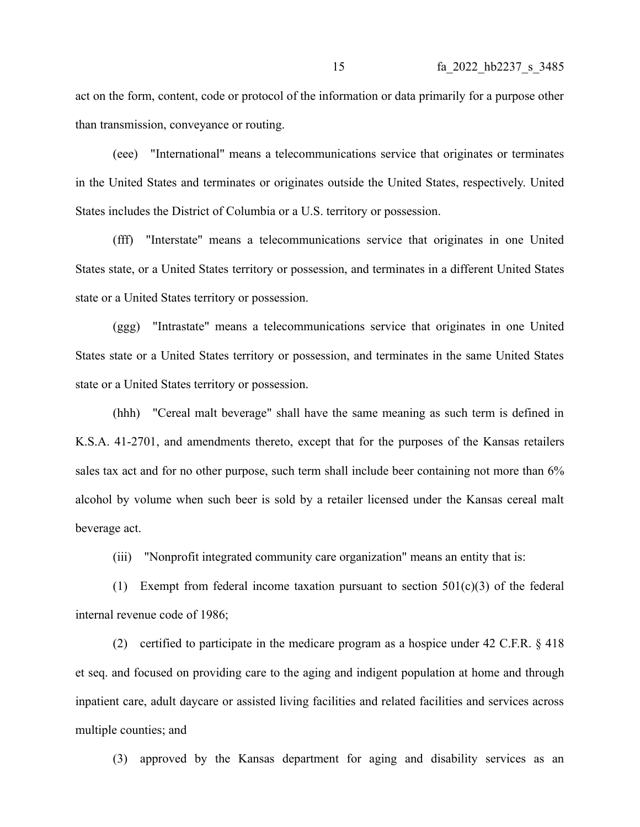act on the form, content, code or protocol of the information or data primarily for a purpose other than transmission, conveyance or routing.

(eee) "International" means a telecommunications service that originates or terminates in the United States and terminates or originates outside the United States, respectively. United States includes the District of Columbia or a U.S. territory or possession.

(fff) "Interstate" means a telecommunications service that originates in one United States state, or a United States territory or possession, and terminates in a different United States state or a United States territory or possession.

(ggg) "Intrastate" means a telecommunications service that originates in one United States state or a United States territory or possession, and terminates in the same United States state or a United States territory or possession.

(hhh) "Cereal malt beverage" shall have the same meaning as such term is defined in K.S.A. 41-2701, and amendments thereto, except that for the purposes of the Kansas retailers sales tax act and for no other purpose, such term shall include beer containing not more than 6% alcohol by volume when such beer is sold by a retailer licensed under the Kansas cereal malt beverage act.

(iii) "Nonprofit integrated community care organization" means an entity that is:

(1) Exempt from federal income taxation pursuant to section 501(c)(3) of the federal internal revenue code of 1986;

(2) certified to participate in the medicare program as a hospice under 42 C.F.R. § 418 et seq. and focused on providing care to the aging and indigent population at home and through inpatient care, adult daycare or assisted living facilities and related facilities and services across multiple counties; and

(3) approved by the Kansas department for aging and disability services as an